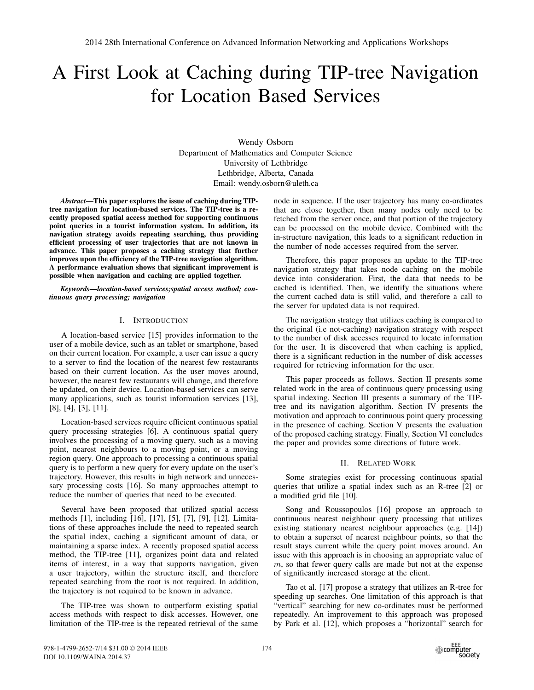# A First Look at Caching during TIP-tree Navigation for Location Based Services

Wendy Osborn Department of Mathematics and Computer Science University of Lethbridge Lethbridge, Alberta, Canada Email: wendy.osborn@uleth.ca

*Abstract*—This paper explores the issue of caching during TIPtree navigation for location-based services. The TIP-tree is a recently proposed spatial access method for supporting continuous point queries in a tourist information system. In addition, its navigation strategy avoids repeating searching, thus providing efficient processing of user trajectories that are not known in advance. This paper proposes a caching strategy that further improves upon the efficiency of the TIP-tree navigation algorithm. A performance evaluation shows that significant improvement is possible when navigation and caching are applied together.

*Keywords*—*location-based services;spatial access method; continuous query processing; navigation*

# I. INTRODUCTION

A location-based service [15] provides information to the user of a mobile device, such as an tablet or smartphone, based on their current location. For example, a user can issue a query to a server to find the location of the nearest few restaurants based on their current location. As the user moves around, however, the nearest few restaurants will change, and therefore be updated, on their device. Location-based services can serve many applications, such as tourist information services [13], [8], [4], [3], [11].

Location-based services require efficient continuous spatial query processing strategies [6]. A continuous spatial query involves the processing of a moving query, such as a moving point, nearest neighbours to a moving point, or a moving region query. One approach to processing a continuous spatial query is to perform a new query for every update on the user's trajectory. However, this results in high network and unnecessary processing costs [16]. So many approaches attempt to reduce the number of queries that need to be executed.

Several have been proposed that utilized spatial access methods [1], including [16], [17], [5], [7], [9], [12]. Limitations of these approaches include the need to repeated search the spatial index, caching a significant amount of data, or maintaining a sparse index. A recently proposed spatial access method, the TIP-tree [11], organizes point data and related items of interest, in a way that supports navigation, given a user trajectory, within the structure itself, and therefore repeated searching from the root is not required. In addition, the trajectory is not required to be known in advance.

The TIP-tree was shown to outperform existing spatial access methods with respect to disk accesses. However, one limitation of the TIP-tree is the repeated retrieval of the same

node in sequence. If the user trajectory has many co-ordinates that are close together, then many nodes only need to be fetched from the server once, and that portion of the trajectory can be processed on the mobile device. Combined with the in-structure navigation, this leads to a significant reduction in the number of node accesses required from the server.

Therefore, this paper proposes an update to the TIP-tree navigation strategy that takes node caching on the mobile device into consideration. First, the data that needs to be cached is identified. Then, we identify the situations where the current cached data is still valid, and therefore a call to the server for updated data is not required.

The navigation strategy that utilizes caching is compared to the original (i.e not-caching) navigation strategy with respect to the number of disk accesses required to locate information for the user. It is discovered that when caching is applied, there is a significant reduction in the number of disk accesses required for retrieving information for the user.

This paper proceeds as follows. Section II presents some related work in the area of continuous query processing using spatial indexing. Section III presents a summary of the TIPtree and its navigation algorithm. Section IV presents the motivation and approach to continuous point query processing in the presence of caching. Section V presents the evaluation of the proposed caching strategy. Finally, Section VI concludes the paper and provides some directions of future work.

## II. RELATED WORK

Some strategies exist for processing continuous spatial queries that utilize a spatial index such as an R-tree [2] or a modified grid file [10].

Song and Roussopoulos [16] propose an approach to continuous nearest neighbour query processing that utilizes existing stationary nearest neighbour approaches (e.g. [14]) to obtain a superset of nearest neighbour points, so that the result stays current while the query point moves around. An issue with this approach is in choosing an appropriate value of  $m$ , so that fewer query calls are made but not at the expense of significantly increased storage at the client.

Tao et al. [17] propose a strategy that utilizes an R-tree for speeding up searches. One limitation of this approach is that "vertical" searching for new co-ordinates must be performed repeatedly. An improvement to this approach was proposed by Park et al. [12], which proposes a "horizontal" search for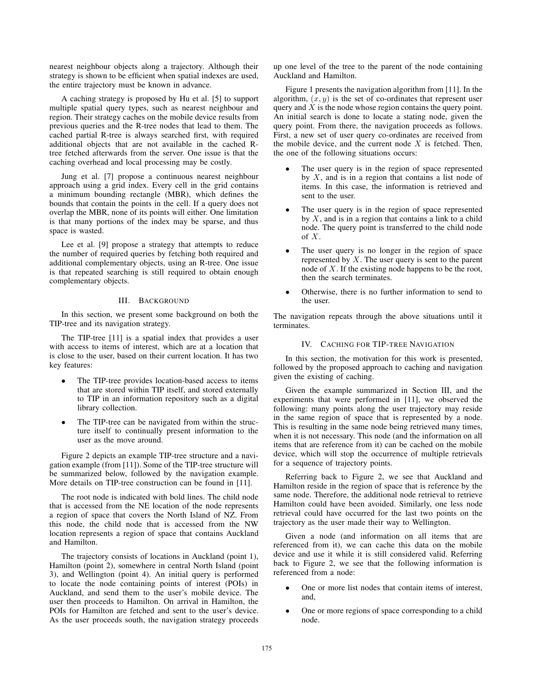nearest neighbour objects along a trajectory. Although their strategy is shown to be efficient when spatial indexes are used, the entire trajectory must be known in advance.

A caching strategy is proposed by Hu et al. [5] to support multiple spatial query types, such as nearest neighbour and region. Their strategy caches on the mobile device results from previous queries and the R-tree nodes that lead to them. The cached partial R-tree is always searched first, with required additional objects that are not available in the cached Rtree fetched afterwards from the server. One issue is that the caching overhead and local processing may be costly.

Jung et al. [7] propose a continuous nearest neighbour approach using a grid index. Every cell in the grid contains a minimum bounding rectangle (MBR), which defines the bounds that contain the points in the cell. If a query does not overlap the MBR, none of its points will either. One limitation is that many portions of the index may be sparse, and thus space is wasted.

Lee et al. [9] propose a strategy that attempts to reduce the number of required queries by fetching both required and additional complementary objects, using an R-tree. One issue is that repeated searching is still required to obtain enough complementary objects.

### III. BACKGROUND

In this section, we present some background on both the TIP-tree and its navigation strategy.

The TIP-tree [11] is a spatial index that provides a user with access to items of interest, which are at a location that is close to the user, based on their current location. It has two key features:

- The TIP-tree provides location-based access to items that are stored within TIP itself, and stored externally to TIP in an information repository such as a digital library collection.
- The TIP-tree can be navigated from within the structure itself to continually present information to the user as the move around.

Figure 2 depicts an example TIP-tree structure and a navigation example (from [11]). Some of the TIP-tree structure will be summarized below, followed by the navigation example. More details on TIP-tree construction can be found in [11].

The root node is indicated with bold lines. The child node that is accessed from the NE location of the node represents a region of space that covers the North Island of NZ. From this node, the child node that is accessed from the NW location represents a region of space that contains Auckland and Hamilton.

The trajectory consists of locations in Auckland (point 1), Hamilton (point 2), somewhere in central North Island (point 3), and Wellington (point 4). An initial query is performed to locate the node containing points of interest (POIs) in Auckland, and send them to the user's mobile device. The user then proceeds to Hamilton. On arrival in Hamilton, the POIs for Hamilton are fetched and sent to the user's device. As the user proceeds south, the navigation strategy proceeds up one level of the tree to the parent of the node containing Auckland and Hamilton.

Figure 1 presents the navigation algorithm from [11]. In the algorithm,  $(x, y)$  is the set of co-ordinates that represent user query and  $X$  is the node whose region contains the query point. An initial search is done to locate a stating node, given the query point. From there, the navigation proceeds as follows. First, a new set of user query co-ordinates are received from the mobile device, and the current node  $X$  is fetched. Then, the one of the following situations occurs:

- The user query is in the region of space represented by  $X$ , and is in a region that contains a list node of items. In this case, the information is retrieved and sent to the user.
- The user query is in the region of space represented by  $X$ , and is in a region that contains a link to a child node. The query point is transferred to the child node of  $X$ .
- The user query is no longer in the region of space represented by  $X$ . The user query is sent to the parent node of  $X$ . If the existing node happens to be the root, then the search terminates.
- Otherwise, there is no further information to send to the user.

The navigation repeats through the above situations until it terminates.

#### IV. CACHING FOR TIP-TREE NAVIGATION

In this section, the motivation for this work is presented, followed by the proposed approach to caching and navigation given the existing of caching.

Given the example summarized in Section III, and the experiments that were performed in [11], we observed the following: many points along the user trajectory may reside in the same region of space that is represented by a node. This is resulting in the same node being retrieved many times, when it is not necessary. This node (and the information on all items that are reference from it) can be cached on the mobile device, which will stop the occurrence of multiple retrievals for a sequence of trajectory points.

Referring back to Figure 2, we see that Auckland and Hamilton reside in the region of space that is reference by the same node. Therefore, the additional node retrieval to retrieve Hamilton could have been avoided. Similarly, one less node retrieval could have occurred for the last two points on the trajectory as the user made their way to Wellington.

Given a node (and information on all items that are referenced from it), we can cache this data on the mobile device and use it while it is still considered valid. Referring back to Figure 2, we see that the following information is referenced from a node:

- One or more list nodes that contain items of interest, and,
- One or more regions of space corresponding to a child node.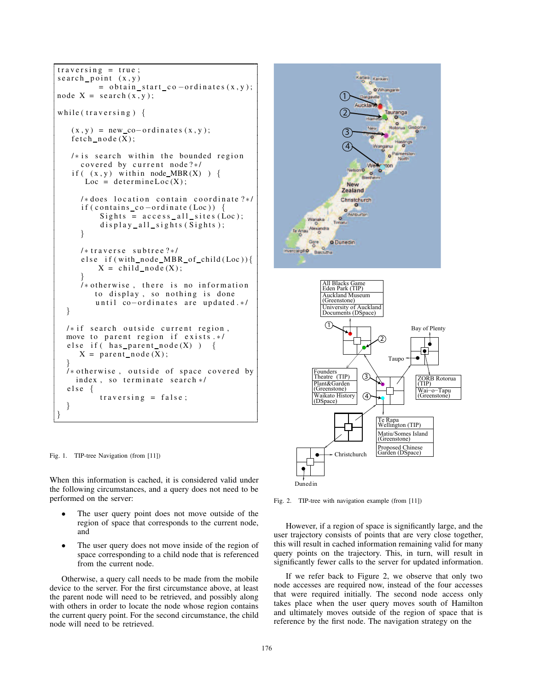```
traversing = true ;
search\_point(x,y)= obtain start c o −ordinates (x,y);
node X = search(x, y);
while ( traversing ) {
   (x, y) = new\_co-ordinates(x, y);fetch\_node(X);/ ∗ is search within the bounded region
     covered by current node?*/
   if ((x, y) within node_MBR(X)) {
      Loc = determineLoc(X);/ ∗ does location contain coordinate ? ∗ /
     if (contains_c o-ordinate (Loc)) {
         Sights = access_all\_sites (Loc);display_all_sights (Sights);
     }
     / ∗ traverse subtree? ∗ /
     else if (with\_node\_MBR_of\_child (Loc))X = \text{child\_node}(X);}
     /* otherwise, there is no information
        to display , so nothing is done
        u ntil co−ordinates are updated . ∗ /
 }
 / ∗ if search outside current region ,
 move to parent region if exists.*/
  else if ( has parent\_node(X) ) \{X = parent\_node(X);}
 /* otherwise, outside of space covered by
    index, so terminate search */
  else {
         traversing = false ;
 }
}
```




Fig. 1. TIP-tree Navigation (from [11])

When this information is cached, it is considered valid under the following circumstances, and a query does not need to be performed on the server:

- The user query point does not move outside of the region of space that corresponds to the current node, and
- The user query does not move inside of the region of space corresponding to a child node that is referenced from the current node.

Otherwise, a query call needs to be made from the mobile device to the server. For the first circumstance above, at least the parent node will need to be retrieved, and possibly along with others in order to locate the node whose region contains the current query point. For the second circumstance, the child node will need to be retrieved.

Fig. 2. TIP-tree with navigation example (from [11])

However, if a region of space is significantly large, and the user trajectory consists of points that are very close together, this will result in cached information remaining valid for many query points on the trajectory. This, in turn, will result in significantly fewer calls to the server for updated information.

If we refer back to Figure 2, we observe that only two node accesses are required now, instead of the four accesses that were required initially. The second node access only takes place when the user query moves south of Hamilton and ultimately moves outside of the region of space that is reference by the first node. The navigation strategy on the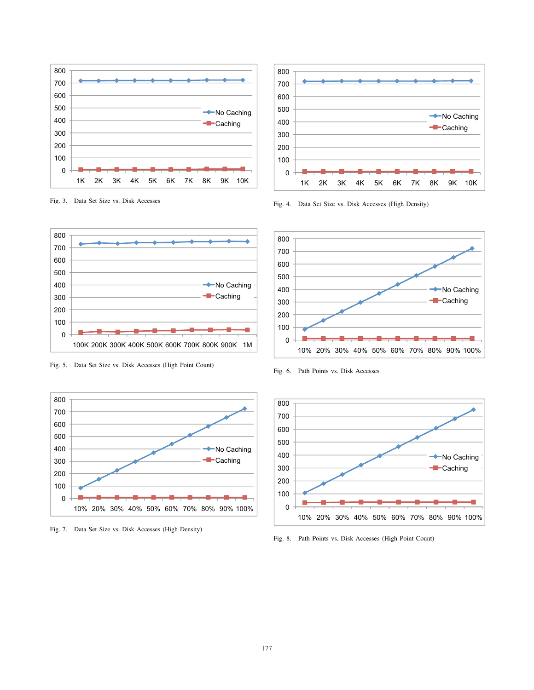



Fig. 3. Data Set Size vs. Disk Accesses



Fig. 5. Data Set Size vs. Disk Accesses (High Point Count)



Fig. 7. Data Set Size vs. Disk Accesses (High Density)

Fig. 4. Data Set Size vs. Disk Accesses (High Density)



Fig. 6. Path Points vs. Disk Accesses



Fig. 8. Path Points vs. Disk Accesses (High Point Count)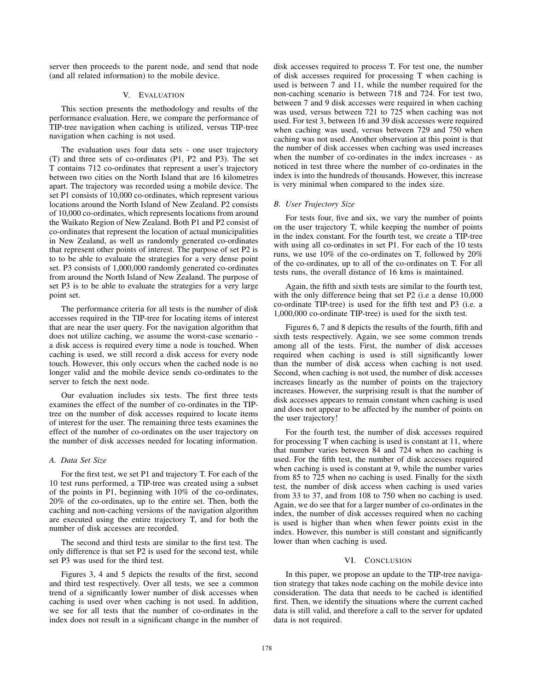server then proceeds to the parent node, and send that node (and all related information) to the mobile device.

# V. EVALUATION

This section presents the methodology and results of the performance evaluation. Here, we compare the performance of TIP-tree navigation when caching is utilized, versus TIP-tree navigation when caching is not used.

The evaluation uses four data sets - one user trajectory (T) and three sets of co-ordinates (P1, P2 and P3). The set T contains 712 co-ordinates that represent a user's trajectory between two cities on the North Island that are 16 kilometres apart. The trajectory was recorded using a mobile device. The set P1 consists of 10,000 co-ordinates, which represent various locations around the North Island of New Zealand. P2 consists of 10,000 co-ordinates, which represents locations from around the Waikato Region of New Zealand. Both P1 and P2 consist of co-ordinates that represent the location of actual municipalities in New Zealand, as well as randomly generated co-ordinates that represent other points of interest. The purpose of set P2 is to to be able to evaluate the strategies for a very dense point set. P3 consists of 1,000,000 randomly generated co-ordinates from around the North Island of New Zealand. The purpose of set P3 is to be able to evaluate the strategies for a very large point set.

The performance criteria for all tests is the number of disk accesses required in the TIP-tree for locating items of interest that are near the user query. For the navigation algorithm that does not utilize caching, we assume the worst-case scenario a disk access is required every time a node is touched. When caching is used, we still record a disk access for every node touch. However, this only occurs when the cached node is no longer valid and the mobile device sends co-ordinates to the server to fetch the next node.

Our evaluation includes six tests. The first three tests examines the effect of the number of co-ordinates in the TIPtree on the number of disk accesses required to locate items of interest for the user. The remaining three tests examines the effect of the number of co-ordinates on the user trajectory on the number of disk accesses needed for locating information.

#### *A. Data Set Size*

For the first test, we set P1 and trajectory T. For each of the 10 test runs performed, a TIP-tree was created using a subset of the points in P1, beginning with 10% of the co-ordinates, 20% of the co-ordinates, up to the entire set. Then, both the caching and non-caching versions of the navigation algorithm are executed using the entire trajectory T, and for both the number of disk accesses are recorded.

The second and third tests are similar to the first test. The only difference is that set P2 is used for the second test, while set P3 was used for the third test.

Figures 3, 4 and 5 depicts the results of the first, second and third test respectively. Over all tests, we see a common trend of a significantly lower number of disk accesses when caching is used over when caching is not used. In addition, we see for all tests that the number of co-ordinates in the index does not result in a significant change in the number of disk accesses required to process T. For test one, the number of disk accesses required for processing T when caching is used is between 7 and 11, while the number required for the non-caching scenario is between 718 and 724. For test two, between 7 and 9 disk accesses were required in when caching was used, versus between 721 to 725 when caching was not used. For test 3, between 16 and 39 disk accesses were required when caching was used, versus between 729 and 750 when caching was not used. Another observation at this point is that the number of disk accesses when caching was used increases when the number of co-ordinates in the index increases - as noticed in test three where the number of co-ordinates in the index is into the hundreds of thousands. However, this increase is very minimal when compared to the index size.

#### *B. User Trajectory Size*

For tests four, five and six, we vary the number of points on the user trajectory T, while keeping the number of points in the index constant. For the fourth test, we create a TIP-tree with using all co-ordinates in set P1. For each of the 10 tests runs, we use 10% of the co-ordinates on T, followed by 20% of the co-ordinates, up to all of the co-ordinates on T. For all tests runs, the overall distance of 16 kms is maintained.

Again, the fifth and sixth tests are similar to the fourth test, with the only difference being that set P2 (i.e a dense 10,000 co-ordinate TIP-tree) is used for the fifth test and P3 (i.e. a 1,000,000 co-ordinate TIP-tree) is used for the sixth test.

Figures 6, 7 and 8 depicts the results of the fourth, fifth and sixth tests respectively. Again, we see some common trends among all of the tests. First, the number of disk accesses required when caching is used is still significantly lower than the number of disk access when caching is not used. Second, when caching is not used, the number of disk accesses increases linearly as the number of points on the trajectory increases. However, the surprising result is that the number of disk accesses appears to remain constant when caching is used and does not appear to be affected by the number of points on the user trajectory!

For the fourth test, the number of disk accesses required for processing T when caching is used is constant at 11, where that number varies between 84 and 724 when no caching is used. For the fifth test, the number of disk accesses required when caching is used is constant at 9, while the number varies from 85 to 725 when no caching is used. Finally for the sixth test, the number of disk access when caching is used varies from 33 to 37, and from 108 to 750 when no caching is used. Again, we do see that for a larger number of co-ordinates in the index, the number of disk accesses required when no caching is used is higher than when when fewer points exist in the index. However, this number is still constant and significantly lower than when caching is used.

# VI. CONCLUSION

In this paper, we propose an update to the TIP-tree navigation strategy that takes node caching on the mobile device into consideration. The data that needs to be cached is identified first. Then, we identify the situations where the current cached data is still valid, and therefore a call to the server for updated data is not required.